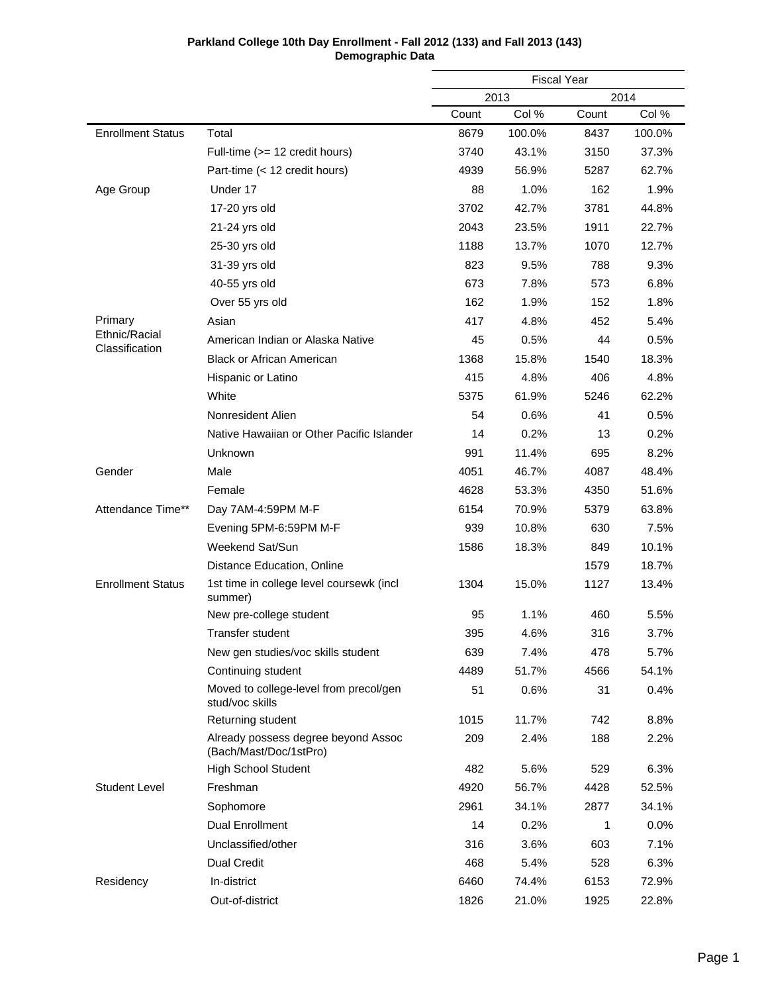|                                 |                                                               | <b>Fiscal Year</b> |        |       |        |
|---------------------------------|---------------------------------------------------------------|--------------------|--------|-------|--------|
|                                 |                                                               | 2013<br>2014       |        |       |        |
|                                 |                                                               | Count              | Col %  | Count | Col %  |
| <b>Enrollment Status</b>        | Total                                                         | 8679               | 100.0% | 8437  | 100.0% |
|                                 | Full-time (>= 12 credit hours)                                | 3740               | 43.1%  | 3150  | 37.3%  |
|                                 | Part-time (< 12 credit hours)                                 | 4939               | 56.9%  | 5287  | 62.7%  |
| Age Group                       | Under 17                                                      | 88                 | 1.0%   | 162   | 1.9%   |
|                                 | 17-20 yrs old                                                 | 3702               | 42.7%  | 3781  | 44.8%  |
|                                 | 21-24 yrs old                                                 | 2043               | 23.5%  | 1911  | 22.7%  |
|                                 | 25-30 yrs old                                                 | 1188               | 13.7%  | 1070  | 12.7%  |
|                                 | 31-39 yrs old                                                 | 823                | 9.5%   | 788   | 9.3%   |
|                                 | 40-55 yrs old                                                 | 673                | 7.8%   | 573   | 6.8%   |
|                                 | Over 55 yrs old                                               | 162                | 1.9%   | 152   | 1.8%   |
| Primary                         | Asian                                                         | 417                | 4.8%   | 452   | 5.4%   |
| Ethnic/Racial<br>Classification | American Indian or Alaska Native                              | 45                 | 0.5%   | 44    | 0.5%   |
|                                 | <b>Black or African American</b>                              | 1368               | 15.8%  | 1540  | 18.3%  |
|                                 | Hispanic or Latino                                            | 415                | 4.8%   | 406   | 4.8%   |
|                                 | White                                                         | 5375               | 61.9%  | 5246  | 62.2%  |
|                                 | Nonresident Alien                                             | 54                 | 0.6%   | 41    | 0.5%   |
|                                 | Native Hawaiian or Other Pacific Islander                     | 14                 | 0.2%   | 13    | 0.2%   |
|                                 | Unknown                                                       | 991                | 11.4%  | 695   | 8.2%   |
| Gender                          | Male                                                          | 4051               | 46.7%  | 4087  | 48.4%  |
|                                 | Female                                                        | 4628               | 53.3%  | 4350  | 51.6%  |
| Attendance Time**               | Day 7AM-4:59PM M-F                                            | 6154               | 70.9%  | 5379  | 63.8%  |
|                                 | Evening 5PM-6:59PM M-F                                        | 939                | 10.8%  | 630   | 7.5%   |
|                                 | Weekend Sat/Sun                                               | 1586               | 18.3%  | 849   | 10.1%  |
|                                 | Distance Education, Online                                    |                    |        | 1579  | 18.7%  |
| <b>Enrollment Status</b>        | 1st time in college level coursewk (incl<br>summer)           | 1304               | 15.0%  | 1127  | 13.4%  |
|                                 | New pre-college student                                       | 95                 | 1.1%   | 460   | 5.5%   |
|                                 | Transfer student                                              | 395                | 4.6%   | 316   | 3.7%   |
|                                 | New gen studies/voc skills student                            | 639                | 7.4%   | 478   | 5.7%   |
|                                 | Continuing student                                            | 4489               | 51.7%  | 4566  | 54.1%  |
|                                 | Moved to college-level from precol/gen<br>stud/voc skills     | 51                 | 0.6%   | 31    | 0.4%   |
|                                 | Returning student                                             | 1015               | 11.7%  | 742   | 8.8%   |
|                                 | Already possess degree beyond Assoc<br>(Bach/Mast/Doc/1stPro) | 209                | 2.4%   | 188   | 2.2%   |
|                                 | <b>High School Student</b>                                    | 482                | 5.6%   | 529   | 6.3%   |
| <b>Student Level</b>            | Freshman                                                      | 4920               | 56.7%  | 4428  | 52.5%  |
|                                 | Sophomore                                                     | 2961               | 34.1%  | 2877  | 34.1%  |
|                                 | Dual Enrollment                                               | 14                 | 0.2%   | 1     | 0.0%   |
|                                 | Unclassified/other                                            | 316                | 3.6%   | 603   | 7.1%   |
|                                 | <b>Dual Credit</b>                                            | 468                | 5.4%   | 528   | 6.3%   |
| Residency                       | In-district                                                   | 6460               | 74.4%  | 6153  | 72.9%  |
|                                 | Out-of-district                                               | 1826               | 21.0%  | 1925  | 22.8%  |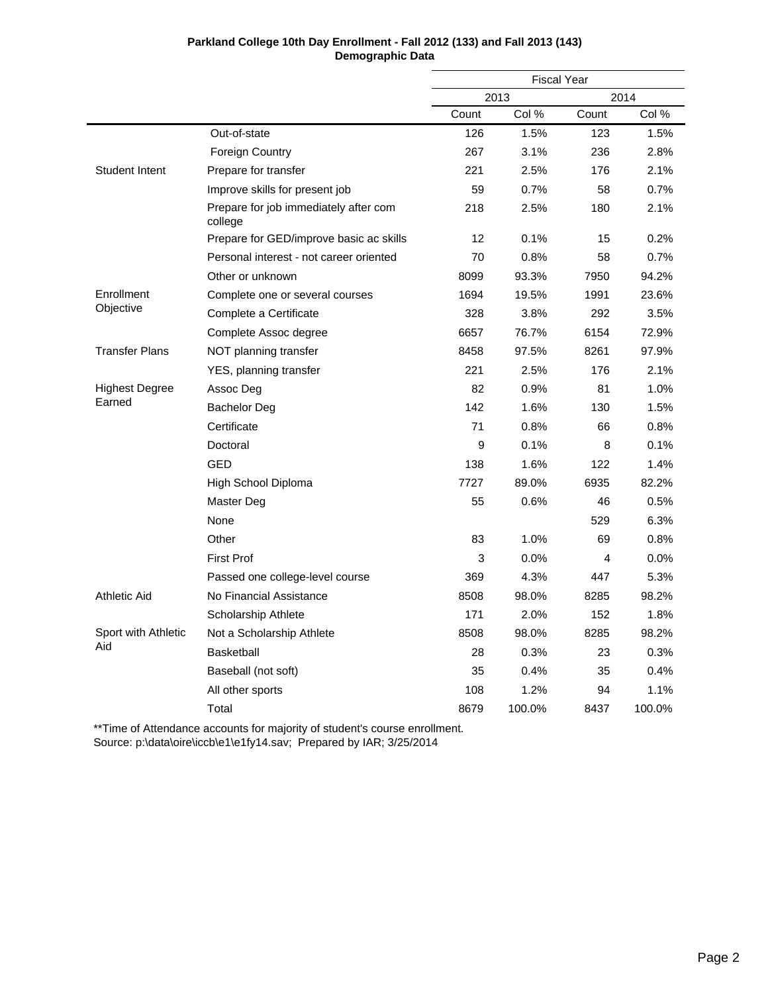|                       |                                                  | <b>Fiscal Year</b> |        |       |        |
|-----------------------|--------------------------------------------------|--------------------|--------|-------|--------|
|                       |                                                  |                    | 2013   |       | 2014   |
|                       |                                                  | Count              | Col %  | Count | Col %  |
|                       | Out-of-state                                     | 126                | 1.5%   | 123   | 1.5%   |
|                       | <b>Foreign Country</b>                           | 267                | 3.1%   | 236   | 2.8%   |
| Student Intent        | Prepare for transfer                             | 221                | 2.5%   | 176   | 2.1%   |
|                       | Improve skills for present job                   | 59                 | 0.7%   | 58    | 0.7%   |
|                       | Prepare for job immediately after com<br>college | 218                | 2.5%   | 180   | 2.1%   |
|                       | Prepare for GED/improve basic ac skills          | 12                 | 0.1%   | 15    | 0.2%   |
|                       | Personal interest - not career oriented          | 70                 | 0.8%   | 58    | 0.7%   |
|                       | Other or unknown                                 | 8099               | 93.3%  | 7950  | 94.2%  |
| Enrollment            | Complete one or several courses                  | 1694               | 19.5%  | 1991  | 23.6%  |
| Objective             | Complete a Certificate                           | 328                | 3.8%   | 292   | 3.5%   |
|                       | Complete Assoc degree                            | 6657               | 76.7%  | 6154  | 72.9%  |
| <b>Transfer Plans</b> | NOT planning transfer                            | 8458               | 97.5%  | 8261  | 97.9%  |
|                       | YES, planning transfer                           | 221                | 2.5%   | 176   | 2.1%   |
| <b>Highest Degree</b> | Assoc Deg                                        | 82                 | 0.9%   | 81    | 1.0%   |
| Earned                | <b>Bachelor Deg</b>                              | 142                | 1.6%   | 130   | 1.5%   |
|                       | Certificate                                      | 71                 | 0.8%   | 66    | 0.8%   |
|                       | Doctoral                                         | 9                  | 0.1%   | 8     | 0.1%   |
|                       | GED                                              | 138                | 1.6%   | 122   | 1.4%   |
|                       | High School Diploma                              | 7727               | 89.0%  | 6935  | 82.2%  |
|                       | Master Deg                                       | 55                 | 0.6%   | 46    | 0.5%   |
|                       | None                                             |                    |        | 529   | 6.3%   |
|                       | Other                                            | 83                 | 1.0%   | 69    | 0.8%   |
|                       | <b>First Prof</b>                                | 3                  | 0.0%   | 4     | 0.0%   |
|                       | Passed one college-level course                  | 369                | 4.3%   | 447   | 5.3%   |
| Athletic Aid          | No Financial Assistance                          | 8508               | 98.0%  | 8285  | 98.2%  |
|                       | Scholarship Athlete                              | 171                | 2.0%   | 152   | 1.8%   |
| Sport with Athletic   | Not a Scholarship Athlete                        | 8508               | 98.0%  | 8285  | 98.2%  |
| Aid                   | Basketball                                       | 28                 | 0.3%   | 23    | 0.3%   |
|                       | Baseball (not soft)                              | 35                 | 0.4%   | 35    | 0.4%   |
|                       | All other sports                                 | 108                | 1.2%   | 94    | 1.1%   |
|                       | Total                                            | 8679               | 100.0% | 8437  | 100.0% |

\*\*Time of Attendance accounts for majority of student's course enrollment. Source: p:\data\oire\iccb\e1\e1fy14.sav; Prepared by IAR; 3/25/2014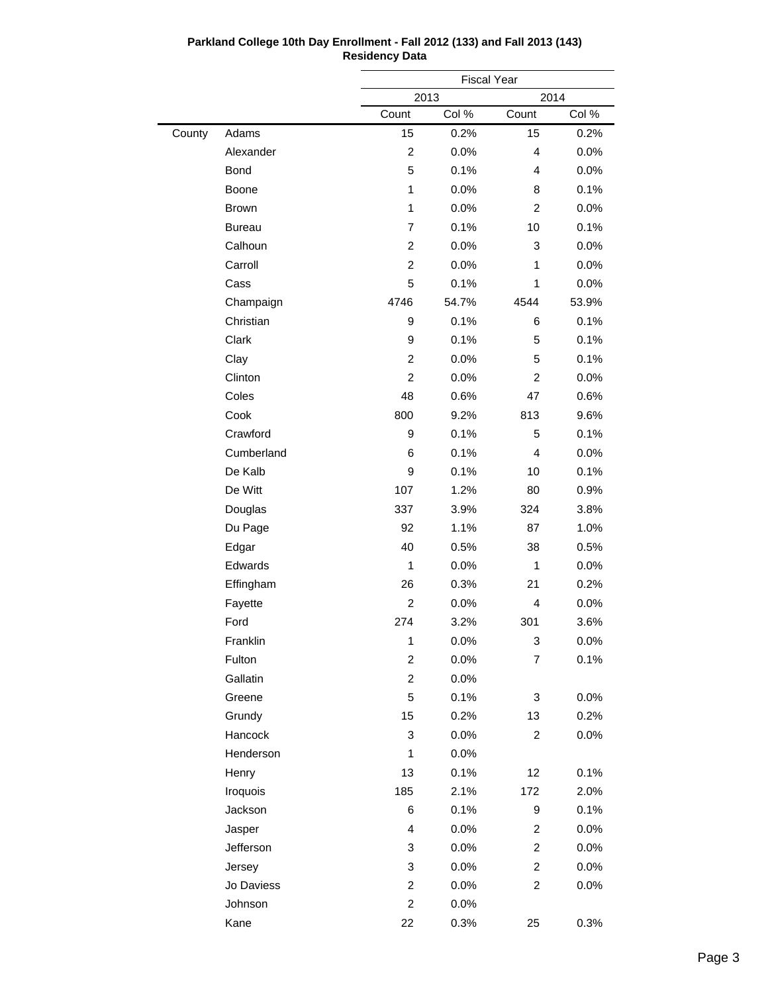|        |               |                         | <b>Fiscal Year</b> |                         |       |  |
|--------|---------------|-------------------------|--------------------|-------------------------|-------|--|
|        |               |                         | 2014<br>2013       |                         |       |  |
|        |               | Count                   | Col %              | Count                   | Col % |  |
| County | Adams         | 15                      | 0.2%               | 15                      | 0.2%  |  |
|        | Alexander     | $\overline{c}$          | 0.0%               | 4                       | 0.0%  |  |
|        | Bond          | 5                       | 0.1%               | 4                       | 0.0%  |  |
|        | Boone         | $\mathbf 1$             | 0.0%               | 8                       | 0.1%  |  |
|        | <b>Brown</b>  | $\mathbf{1}$            | 0.0%               | $\overline{c}$          | 0.0%  |  |
|        | <b>Bureau</b> | 7                       | 0.1%               | 10                      | 0.1%  |  |
|        | Calhoun       | $\overline{c}$          | 0.0%               | 3                       | 0.0%  |  |
|        | Carroll       | $\overline{c}$          | 0.0%               | 1                       | 0.0%  |  |
|        | Cass          | 5                       | 0.1%               | 1                       | 0.0%  |  |
|        | Champaign     | 4746                    | 54.7%              | 4544                    | 53.9% |  |
|        | Christian     | 9                       | 0.1%               | 6                       | 0.1%  |  |
|        | Clark         | 9                       | 0.1%               | 5                       | 0.1%  |  |
|        | Clay          | $\overline{c}$          | 0.0%               | 5                       | 0.1%  |  |
|        | Clinton       | $\overline{c}$          | 0.0%               | $\overline{2}$          | 0.0%  |  |
|        | Coles         | 48                      | 0.6%               | 47                      | 0.6%  |  |
|        | Cook          | 800                     | 9.2%               | 813                     | 9.6%  |  |
|        | Crawford      | 9                       | 0.1%               | 5                       | 0.1%  |  |
|        | Cumberland    | 6                       | 0.1%               | 4                       | 0.0%  |  |
|        | De Kalb       | 9                       | 0.1%               | 10                      | 0.1%  |  |
|        | De Witt       | 107                     | 1.2%               | 80                      | 0.9%  |  |
|        | Douglas       | 337                     | 3.9%               | 324                     | 3.8%  |  |
|        | Du Page       | 92                      | 1.1%               | 87                      | 1.0%  |  |
|        | Edgar         | 40                      | 0.5%               | 38                      | 0.5%  |  |
|        | Edwards       | $\mathbf{1}$            | 0.0%               | $\mathbf 1$             | 0.0%  |  |
|        | Effingham     | 26                      | 0.3%               | 21                      | 0.2%  |  |
|        | Fayette       | $\overline{c}$          | 0.0%               | 4                       | 0.0%  |  |
|        | Ford          | 274                     | 3.2%               | 301                     | 3.6%  |  |
|        | Franklin      | $\mathbf{1}$            | 0.0%               | 3                       | 0.0%  |  |
|        | Fulton        | $\overline{c}$          | 0.0%               | 7                       | 0.1%  |  |
|        | Gallatin      | $\overline{c}$          | 0.0%               |                         |       |  |
|        | Greene        | 5                       | 0.1%               | 3                       | 0.0%  |  |
|        | Grundy        | 15                      | 0.2%               | 13                      | 0.2%  |  |
|        | Hancock       | 3                       | 0.0%               | $\overline{c}$          | 0.0%  |  |
|        | Henderson     | $\mathbf 1$             | 0.0%               |                         |       |  |
|        | Henry         | 13                      | 0.1%               | 12                      | 0.1%  |  |
|        | Iroquois      | 185                     | 2.1%               | 172                     | 2.0%  |  |
|        | Jackson       | 6                       | 0.1%               | 9                       | 0.1%  |  |
|        | Jasper        | 4                       | 0.0%               | $\overline{c}$          | 0.0%  |  |
|        | Jefferson     | 3                       | 0.0%               | $\overline{\mathbf{c}}$ | 0.0%  |  |
|        | Jersey        | 3                       | 0.0%               | 2                       | 0.0%  |  |
|        | Jo Daviess    | $\overline{\mathbf{c}}$ | 0.0%               | $\overline{\mathbf{c}}$ | 0.0%  |  |
|        | Johnson       | $\overline{c}$          | 0.0%               |                         |       |  |
|        | Kane          | 22                      | 0.3%               | 25                      | 0.3%  |  |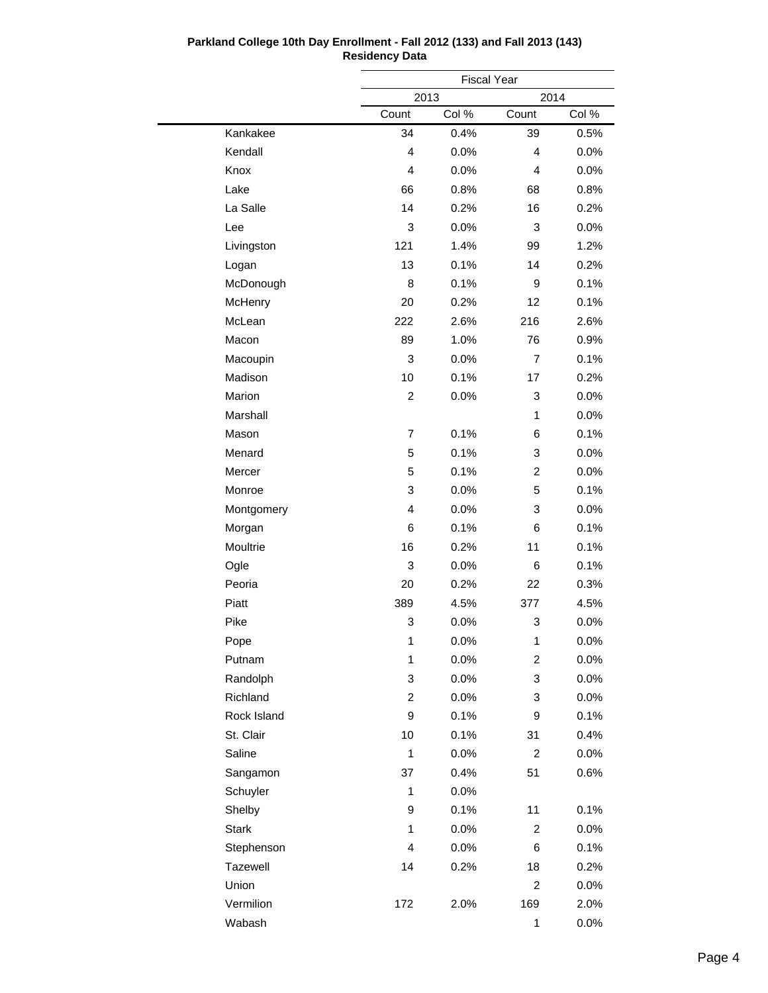|              |                | <b>Fiscal Year</b> |                |         |  |
|--------------|----------------|--------------------|----------------|---------|--|
|              |                | 2013               | 2014           |         |  |
|              | Count          | Col %              | Count          | Col %   |  |
| Kankakee     | 34             | 0.4%               | 39             | 0.5%    |  |
| Kendall      | $\overline{4}$ | 0.0%               | 4              | 0.0%    |  |
| Knox         | $\overline{4}$ | 0.0%               | 4              | 0.0%    |  |
| Lake         | 66             | 0.8%               | 68             | 0.8%    |  |
| La Salle     | 14             | 0.2%               | 16             | 0.2%    |  |
| Lee          | 3              | 0.0%               | 3              | 0.0%    |  |
| Livingston   | 121            | 1.4%               | 99             | 1.2%    |  |
| Logan        | 13             | 0.1%               | 14             | 0.2%    |  |
| McDonough    | 8              | 0.1%               | 9              | 0.1%    |  |
| McHenry      | 20             | 0.2%               | 12             | 0.1%    |  |
| McLean       | 222            | 2.6%               | 216            | 2.6%    |  |
| Macon        | 89             | 1.0%               | 76             | 0.9%    |  |
| Macoupin     | 3              | 0.0%               | $\overline{7}$ | 0.1%    |  |
| Madison      | 10             | 0.1%               | 17             | 0.2%    |  |
| Marion       | $\overline{c}$ | 0.0%               | 3              | 0.0%    |  |
| Marshall     |                |                    | $\mathbf{1}$   | 0.0%    |  |
| Mason        | $\overline{7}$ | 0.1%               | 6              | 0.1%    |  |
| Menard       | 5              | 0.1%               | 3              | 0.0%    |  |
| Mercer       | 5              | 0.1%               | 2              | 0.0%    |  |
| Monroe       | 3              | 0.0%               | 5              | 0.1%    |  |
| Montgomery   | 4              | 0.0%               | 3              | 0.0%    |  |
| Morgan       | 6              | 0.1%               | 6              | 0.1%    |  |
| Moultrie     | 16             | 0.2%               | 11             | 0.1%    |  |
| Ogle         | 3              | 0.0%               | 6              | 0.1%    |  |
| Peoria       | 20             | 0.2%               | 22             | 0.3%    |  |
| Piatt        | 389            | 4.5%               | 377            | 4.5%    |  |
| Pike         | 3              | 0.0%               | 3              | 0.0%    |  |
| Pope         | 1              | 0.0%               | $\mathbf{1}$   | 0.0%    |  |
| Putnam       | 1              | 0.0%               | 2              | 0.0%    |  |
| Randolph     | 3              | $0.0\%$            | 3              | $0.0\%$ |  |
| Richland     | $\overline{c}$ | 0.0%               | 3              | $0.0\%$ |  |
| Rock Island  | 9              | 0.1%               | 9              | 0.1%    |  |
| St. Clair    | 10             | 0.1%               | 31             | 0.4%    |  |
| Saline       | $\mathbf{1}$   | $0.0\%$            | $\overline{c}$ | 0.0%    |  |
| Sangamon     | 37             | 0.4%               | 51             | 0.6%    |  |
| Schuyler     | $\mathbf{1}$   | $0.0\%$            |                |         |  |
| Shelby       | 9              | 0.1%               | 11             | 0.1%    |  |
| <b>Stark</b> | 1              | $0.0\%$            | $\overline{2}$ | 0.0%    |  |
| Stephenson   | 4              | 0.0%               | 6              | 0.1%    |  |
| Tazewell     | 14             | 0.2%               | 18             | 0.2%    |  |
| Union        |                |                    | 2              | 0.0%    |  |
| Vermilion    | 172            | 2.0%               | 169            | 2.0%    |  |
| Wabash       |                |                    | 1              | 0.0%    |  |
|              |                |                    |                |         |  |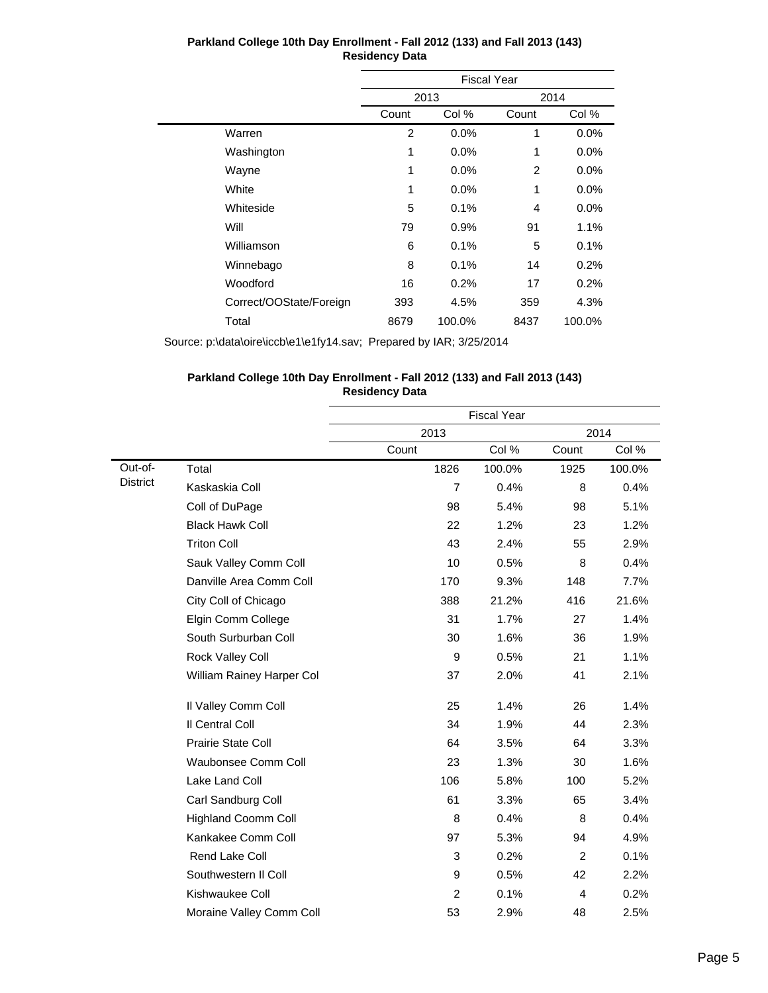|                         | <b>Fiscal Year</b> |         |       |         |  |
|-------------------------|--------------------|---------|-------|---------|--|
|                         |                    | 2013    |       | 2014    |  |
|                         | Count              | Col %   | Count | Col %   |  |
| Warren                  | $\overline{2}$     | 0.0%    | 1     | 0.0%    |  |
| Washington              | 1                  | 0.0%    | 1     | 0.0%    |  |
| Wayne                   | 1                  | $0.0\%$ | 2     | $0.0\%$ |  |
| White                   | 1                  | $0.0\%$ | 1     | 0.0%    |  |
| Whiteside               | 5                  | 0.1%    | 4     | $0.0\%$ |  |
| Will                    | 79                 | 0.9%    | 91    | 1.1%    |  |
| Williamson              | 6                  | 0.1%    | 5     | 0.1%    |  |
| Winnebago               | 8                  | 0.1%    | 14    | 0.2%    |  |
| Woodford                | 16                 | 0.2%    | 17    | 0.2%    |  |
| Correct/OOState/Foreign | 393                | 4.5%    | 359   | 4.3%    |  |
| Total                   | 8679               | 100.0%  | 8437  | 100.0%  |  |

Source: p:\data\oire\iccb\e1\e1fy14.sav; Prepared by IAR; 3/25/2014

#### **Parkland College 10th Day Enrollment - Fall 2012 (133) and Fall 2013 (143) Residency Data**

|                 |                            | <b>Fiscal Year</b> |        |       |        |  |
|-----------------|----------------------------|--------------------|--------|-------|--------|--|
|                 |                            | 2013               |        |       | 2014   |  |
|                 |                            | Count              | Col %  | Count | Col %  |  |
| Out-of-         | Total                      | 1826               | 100.0% | 1925  | 100.0% |  |
| <b>District</b> | Kaskaskia Coll             | $\overline{7}$     | 0.4%   | 8     | 0.4%   |  |
|                 | Coll of DuPage             | 98                 | 5.4%   | 98    | 5.1%   |  |
|                 | <b>Black Hawk Coll</b>     | 22                 | 1.2%   | 23    | 1.2%   |  |
|                 | <b>Triton Coll</b>         | 43                 | 2.4%   | 55    | 2.9%   |  |
|                 | Sauk Valley Comm Coll      | 10                 | 0.5%   | 8     | 0.4%   |  |
|                 | Danville Area Comm Coll    | 170                | 9.3%   | 148   | 7.7%   |  |
|                 | City Coll of Chicago       | 388                | 21.2%  | 416   | 21.6%  |  |
|                 | Elgin Comm College         | 31                 | 1.7%   | 27    | 1.4%   |  |
|                 | South Surburban Coll       | 30                 | 1.6%   | 36    | 1.9%   |  |
|                 | Rock Valley Coll           | 9                  | 0.5%   | 21    | 1.1%   |  |
|                 | William Rainey Harper Col  | 37                 | 2.0%   | 41    | 2.1%   |  |
|                 | Il Valley Comm Coll        | 25                 | 1.4%   | 26    | 1.4%   |  |
|                 | Il Central Coll            | 34                 | 1.9%   | 44    | 2.3%   |  |
|                 | Prairie State Coll         | 64                 | 3.5%   | 64    | 3.3%   |  |
|                 | <b>Waubonsee Comm Coll</b> | 23                 | 1.3%   | 30    | 1.6%   |  |
|                 | Lake Land Coll             | 106                | 5.8%   | 100   | 5.2%   |  |
|                 | Carl Sandburg Coll         | 61                 | 3.3%   | 65    | 3.4%   |  |
|                 | <b>Highland Coomm Coll</b> | 8                  | 0.4%   | 8     | 0.4%   |  |
|                 | Kankakee Comm Coll         | 97                 | 5.3%   | 94    | 4.9%   |  |
|                 | Rend Lake Coll             | 3                  | 0.2%   | 2     | 0.1%   |  |
|                 | Southwestern II Coll       | 9                  | 0.5%   | 42    | 2.2%   |  |
|                 | Kishwaukee Coll            | $\overline{2}$     | 0.1%   | 4     | 0.2%   |  |
|                 | Moraine Valley Comm Coll   | 53                 | 2.9%   | 48    | 2.5%   |  |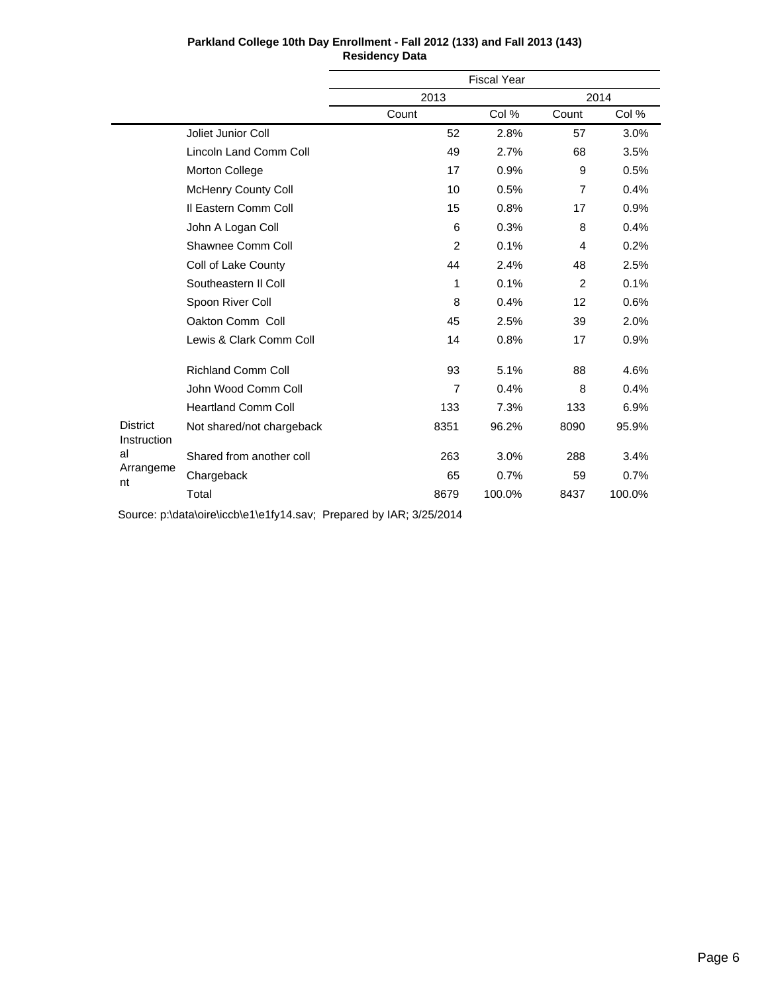|                                |                            | <b>Fiscal Year</b> |        |       |        |  |
|--------------------------------|----------------------------|--------------------|--------|-------|--------|--|
|                                |                            | 2013               |        | 2014  |        |  |
|                                |                            | Count              | Col %  | Count | Col %  |  |
|                                | Joliet Junior Coll         | 52                 | 2.8%   | 57    | 3.0%   |  |
|                                | Lincoln Land Comm Coll     | 49                 | 2.7%   | 68    | 3.5%   |  |
|                                | Morton College             | 17                 | 0.9%   | 9     | 0.5%   |  |
|                                | <b>McHenry County Coll</b> | 10                 | 0.5%   | 7     | 0.4%   |  |
|                                | Il Eastern Comm Coll       | 15                 | 0.8%   | 17    | 0.9%   |  |
|                                | John A Logan Coll          | 6                  | 0.3%   | 8     | 0.4%   |  |
|                                | Shawnee Comm Coll          | $\overline{2}$     | 0.1%   | 4     | 0.2%   |  |
|                                | Coll of Lake County        | 44                 | 2.4%   | 48    | 2.5%   |  |
|                                | Southeastern II Coll       | 1                  | 0.1%   | 2     | 0.1%   |  |
|                                | Spoon River Coll           | 8                  | 0.4%   | 12    | 0.6%   |  |
|                                | Oakton Comm Coll           | 45                 | 2.5%   | 39    | 2.0%   |  |
|                                | Lewis & Clark Comm Coll    | 14                 | 0.8%   | 17    | 0.9%   |  |
|                                | <b>Richland Comm Coll</b>  | 93                 | 5.1%   | 88    | 4.6%   |  |
|                                | John Wood Comm Coll        | $\overline{7}$     | 0.4%   | 8     | 0.4%   |  |
|                                | <b>Heartland Comm Coll</b> | 133                | 7.3%   | 133   | 6.9%   |  |
| <b>District</b><br>Instruction | Not shared/not chargeback  | 8351               | 96.2%  | 8090  | 95.9%  |  |
| al                             | Shared from another coll   | 263                | 3.0%   | 288   | 3.4%   |  |
| Arrangeme<br>nt                | Chargeback                 | 65                 | 0.7%   | 59    | 0.7%   |  |
|                                | Total                      | 8679               | 100.0% | 8437  | 100.0% |  |

Source: p:\data\oire\iccb\e1\e1fy14.sav; Prepared by IAR; 3/25/2014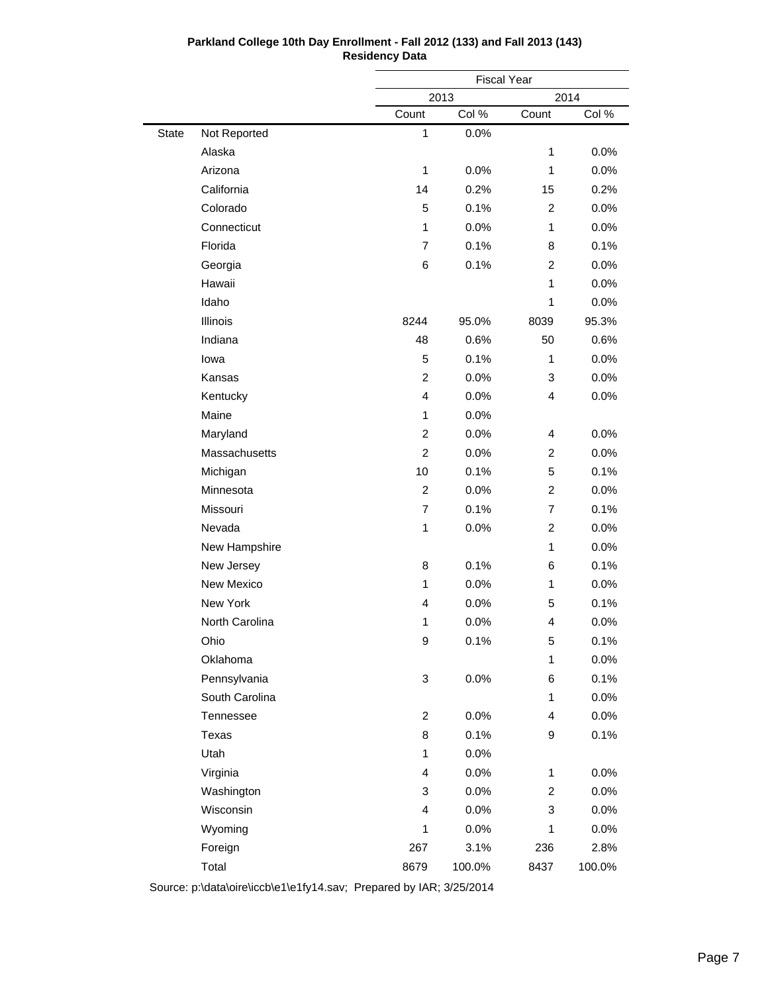|              |                |                | <b>Fiscal Year</b> |                |        |  |
|--------------|----------------|----------------|--------------------|----------------|--------|--|
|              |                |                | 2013<br>2014       |                |        |  |
|              |                | Count          | Col %              | Count          | Col %  |  |
| <b>State</b> | Not Reported   | $\mathbf{1}$   | 0.0%               |                |        |  |
|              | Alaska         |                |                    | $\mathbf{1}$   | 0.0%   |  |
|              | Arizona        | $\mathbf{1}$   | 0.0%               | $\mathbf{1}$   | 0.0%   |  |
|              | California     | 14             | 0.2%               | 15             | 0.2%   |  |
|              | Colorado       | 5              | 0.1%               | $\overline{2}$ | 0.0%   |  |
|              | Connecticut    | $\mathbf{1}$   | 0.0%               | 1              | 0.0%   |  |
|              | Florida        | 7              | 0.1%               | 8              | 0.1%   |  |
|              | Georgia        | 6              | 0.1%               | $\overline{2}$ | 0.0%   |  |
|              | Hawaii         |                |                    | $\mathbf{1}$   | 0.0%   |  |
|              | Idaho          |                |                    | $\mathbf{1}$   | 0.0%   |  |
|              | Illinois       | 8244           | 95.0%              | 8039           | 95.3%  |  |
|              | Indiana        | 48             | 0.6%               | 50             | 0.6%   |  |
|              | lowa           | 5              | 0.1%               | 1              | 0.0%   |  |
|              | Kansas         | $\overline{2}$ | 0.0%               | 3              | 0.0%   |  |
|              | Kentucky       | $\overline{4}$ | 0.0%               | $\overline{4}$ | 0.0%   |  |
|              | Maine          | $\mathbf{1}$   | 0.0%               |                |        |  |
|              | Maryland       | $\overline{c}$ | 0.0%               | 4              | 0.0%   |  |
|              | Massachusetts  | $\overline{2}$ | 0.0%               | $\overline{2}$ | 0.0%   |  |
|              | Michigan       | 10             | 0.1%               | 5              | 0.1%   |  |
|              | Minnesota      | $\overline{2}$ | 0.0%               | $\overline{2}$ | 0.0%   |  |
|              | Missouri       | 7              | 0.1%               | $\overline{7}$ | 0.1%   |  |
|              | Nevada         | 1              | 0.0%               | $\overline{2}$ | 0.0%   |  |
|              | New Hampshire  |                |                    | $\mathbf{1}$   | 0.0%   |  |
|              | New Jersey     | 8              | 0.1%               | 6              | 0.1%   |  |
|              | New Mexico     | $\mathbf{1}$   | 0.0%               | 1              | 0.0%   |  |
|              | New York       | 4              | 0.0%               | 5              | 0.1%   |  |
|              | North Carolina | $\mathbf{1}$   | 0.0%               | 4              | 0.0%   |  |
|              | Ohio           | 9              | 0.1%               | 5              | 0.1%   |  |
|              | Oklahoma       |                |                    | $\mathbf{1}$   | 0.0%   |  |
|              | Pennsylvania   | 3              | 0.0%               | 6              | 0.1%   |  |
|              | South Carolina |                |                    | 1              | 0.0%   |  |
|              | Tennessee      | $\overline{c}$ | 0.0%               | 4              | 0.0%   |  |
|              | Texas          | 8              | 0.1%               | 9              | 0.1%   |  |
|              | Utah           | 1              | 0.0%               |                |        |  |
|              | Virginia       | 4              | 0.0%               | 1              | 0.0%   |  |
|              | Washington     | 3              | 0.0%               | $\overline{c}$ | 0.0%   |  |
|              | Wisconsin      | 4              | 0.0%               | 3              | 0.0%   |  |
|              | Wyoming        | $\mathbf{1}$   | 0.0%               | 1              | 0.0%   |  |
|              | Foreign        | 267            | 3.1%               | 236            | 2.8%   |  |
|              | Total          | 8679           | 100.0%             | 8437           | 100.0% |  |

Source: p:\data\oire\iccb\e1\e1fy14.sav; Prepared by IAR; 3/25/2014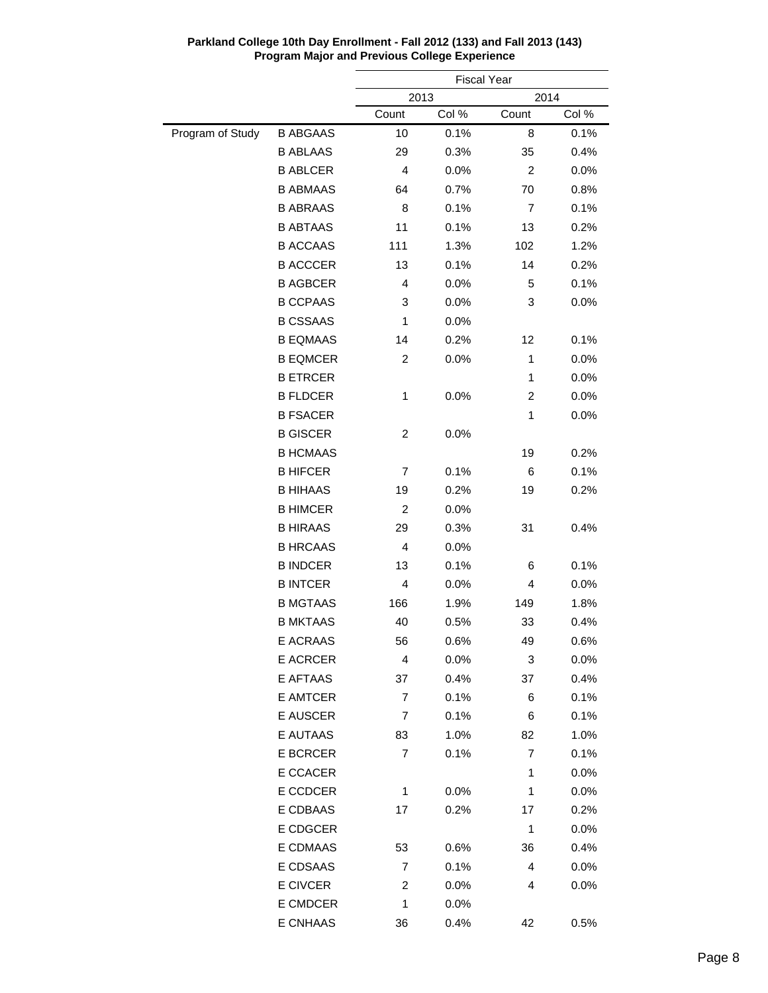|                  |                 | <b>Fiscal Year</b> |       |                |       |
|------------------|-----------------|--------------------|-------|----------------|-------|
|                  |                 | 2013<br>2014       |       |                |       |
|                  |                 | Count              | Col % | Count          | Col % |
| Program of Study | <b>B ABGAAS</b> | 10                 | 0.1%  | 8              | 0.1%  |
|                  | <b>B ABLAAS</b> | 29                 | 0.3%  | 35             | 0.4%  |
|                  | <b>B ABLCER</b> | 4                  | 0.0%  | $\overline{c}$ | 0.0%  |
|                  | <b>B ABMAAS</b> | 64                 | 0.7%  | 70             | 0.8%  |
|                  | <b>B ABRAAS</b> | 8                  | 0.1%  | $\overline{7}$ | 0.1%  |
|                  | <b>B ABTAAS</b> | 11                 | 0.1%  | 13             | 0.2%  |
|                  | <b>B ACCAAS</b> | 111                | 1.3%  | 102            | 1.2%  |
|                  | <b>B ACCCER</b> | 13                 | 0.1%  | 14             | 0.2%  |
|                  | <b>B AGBCER</b> | 4                  | 0.0%  | 5              | 0.1%  |
|                  | <b>B CCPAAS</b> | 3                  | 0.0%  | 3              | 0.0%  |
|                  | <b>B CSSAAS</b> | $\mathbf{1}$       | 0.0%  |                |       |
|                  | <b>B EQMAAS</b> | 14                 | 0.2%  | 12             | 0.1%  |
|                  | <b>B EQMCER</b> | $\overline{c}$     | 0.0%  | 1              | 0.0%  |
|                  | <b>B ETRCER</b> |                    |       | 1              | 0.0%  |
|                  | <b>B FLDCER</b> | 1                  | 0.0%  | $\overline{c}$ | 0.0%  |
|                  | <b>B FSACER</b> |                    |       | 1              | 0.0%  |
|                  | <b>B GISCER</b> | $\overline{c}$     | 0.0%  |                |       |
|                  | <b>B HCMAAS</b> |                    |       | 19             | 0.2%  |
|                  | <b>B HIFCER</b> | 7                  | 0.1%  | 6              | 0.1%  |
|                  | <b>B HIHAAS</b> | 19                 | 0.2%  | 19             | 0.2%  |
|                  | <b>B HIMCER</b> | $\overline{c}$     | 0.0%  |                |       |
|                  | <b>B HIRAAS</b> | 29                 | 0.3%  | 31             | 0.4%  |
|                  | <b>B HRCAAS</b> | 4                  | 0.0%  |                |       |
|                  | <b>B INDCER</b> | 13                 | 0.1%  | 6              | 0.1%  |
|                  | <b>B INTCER</b> | 4                  | 0.0%  | 4              | 0.0%  |
|                  | <b>B MGTAAS</b> | 166                | 1.9%  | 149            | 1.8%  |
|                  | <b>B MKTAAS</b> | 40                 | 0.5%  | 33             | 0.4%  |
|                  | E ACRAAS        | 56                 | 0.6%  | 49             | 0.6%  |
|                  | <b>E ACRCER</b> | 4                  | 0.0%  | 3              | 0.0%  |
|                  | E AFTAAS        | 37                 | 0.4%  | 37             | 0.4%  |
|                  | E AMTCER        | 7                  | 0.1%  | 6              | 0.1%  |
|                  | E AUSCER        | 7                  | 0.1%  | 6              | 0.1%  |
|                  | E AUTAAS        | 83                 | 1.0%  | 82             | 1.0%  |
|                  | <b>E BCRCER</b> | $\overline{7}$     | 0.1%  | 7              | 0.1%  |
|                  | E CCACER        |                    |       | 1              | 0.0%  |
|                  | E CCDCER        | 1                  | 0.0%  | 1              | 0.0%  |
|                  | E CDBAAS        | 17                 | 0.2%  | 17             | 0.2%  |
|                  | E CDGCER        |                    |       | 1              | 0.0%  |
|                  | E CDMAAS        |                    |       |                |       |
|                  | E CDSAAS        | 53<br>7            | 0.6%  | 36<br>4        | 0.4%  |
|                  |                 |                    | 0.1%  |                | 0.0%  |
|                  | E CIVCER        | 2                  | 0.0%  | 4              | 0.0%  |
|                  | E CMDCER        | 1                  | 0.0%  |                |       |
|                  | E CNHAAS        | 36                 | 0.4%  | 42             | 0.5%  |

**Parkland College 10th Day Enrollment - Fall 2012 (133) and Fall 2013 (143) Program Major and Previous College Experience**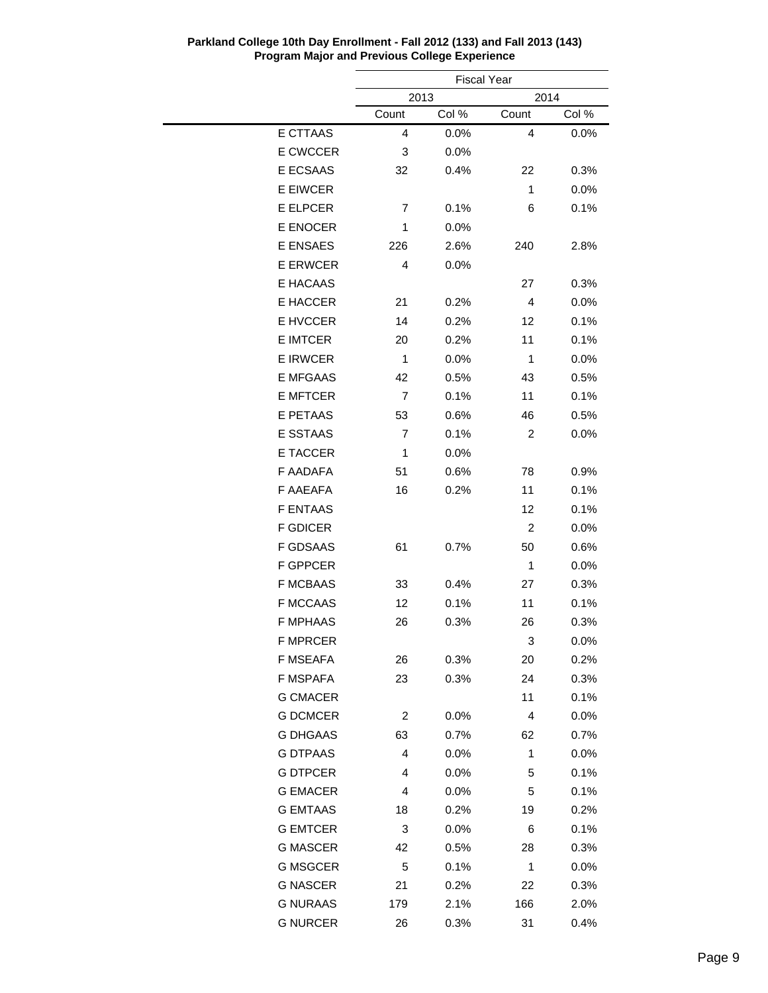|                 | <b>Fiscal Year</b> |         |       |         |
|-----------------|--------------------|---------|-------|---------|
|                 |                    | 2013    |       |         |
|                 | Count              | Col %   | Count | Col %   |
| E CTTAAS        | 4                  | 0.0%    | 4     | 0.0%    |
| E CWCCER        | 3                  | 0.0%    |       |         |
| E ECSAAS        | 32                 | 0.4%    | 22    | 0.3%    |
| <b>E EIWCER</b> |                    |         | 1     | 0.0%    |
| E ELPCER        | 7                  | 0.1%    | 6     | 0.1%    |
| E ENOCER        | 1                  | 0.0%    |       |         |
| <b>E ENSAES</b> | 226                | 2.6%    | 240   | 2.8%    |
| <b>E ERWCER</b> | 4                  | $0.0\%$ |       |         |
| E HACAAS        |                    |         | 27    | 0.3%    |
| E HACCER        | 21                 | 0.2%    | 4     | 0.0%    |
| E HVCCER        | 14                 | 0.2%    | 12    | 0.1%    |
| <b>E IMTCER</b> | 20                 | 0.2%    | 11    | 0.1%    |
| <b>E IRWCER</b> | 1                  | 0.0%    | 1     | $0.0\%$ |
| <b>E MFGAAS</b> | 42                 | 0.5%    | 43    | 0.5%    |
| <b>E MFTCER</b> | 7                  | 0.1%    | 11    | 0.1%    |
| <b>E PETAAS</b> | 53                 | 0.6%    | 46    | 0.5%    |
| E SSTAAS        | 7                  | 0.1%    | 2     | 0.0%    |
| E TACCER        | 1                  | 0.0%    |       |         |
| F AADAFA        | 51                 | 0.6%    | 78    | 0.9%    |
| F AAEAFA        | 16                 | 0.2%    | 11    | 0.1%    |
| <b>F ENTAAS</b> |                    |         | 12    | 0.1%    |
| <b>F GDICER</b> |                    |         | 2     | 0.0%    |
| <b>F GDSAAS</b> | 61                 | 0.7%    | 50    | 0.6%    |
| <b>F GPPCER</b> |                    |         | 1     | 0.0%    |
| <b>F MCBAAS</b> | 33                 | 0.4%    | 27    | 0.3%    |
| <b>F MCCAAS</b> | 12                 | 0.1%    | 11    | 0.1%    |
| <b>F MPHAAS</b> | 26                 | 0.3%    | 26    | 0.3%    |
| <b>F MPRCER</b> |                    |         | 3     | 0.0%    |
| F MSEAFA        | 26                 | 0.3%    | 20    | 0.2%    |
| F MSPAFA        | 23                 | 0.3%    | 24    | 0.3%    |
| <b>G CMACER</b> |                    |         | 11    | 0.1%    |
| <b>G DCMCER</b> | 2                  | 0.0%    | 4     | 0.0%    |
| <b>G DHGAAS</b> | 63                 | 0.7%    | 62    | $0.7\%$ |
| <b>G DTPAAS</b> | 4                  | 0.0%    | 1     | 0.0%    |
| <b>G DTPCER</b> | 4                  | 0.0%    | 5     | 0.1%    |
| <b>G EMACER</b> | 4                  | 0.0%    | 5     | 0.1%    |
| <b>G EMTAAS</b> | 18                 | 0.2%    | 19    | 0.2%    |
| <b>G EMTCER</b> | 3                  | 0.0%    | 6     | 0.1%    |
| <b>G MASCER</b> | 42                 | 0.5%    | 28    | 0.3%    |
| <b>G MSGCER</b> | 5                  | 0.1%    | 1     | $0.0\%$ |
| <b>G NASCER</b> | 21                 | 0.2%    | 22    | 0.3%    |
| <b>G NURAAS</b> | 179                | 2.1%    | 166   | 2.0%    |
| <b>G NURCER</b> | 26                 | 0.3%    | 31    | 0.4%    |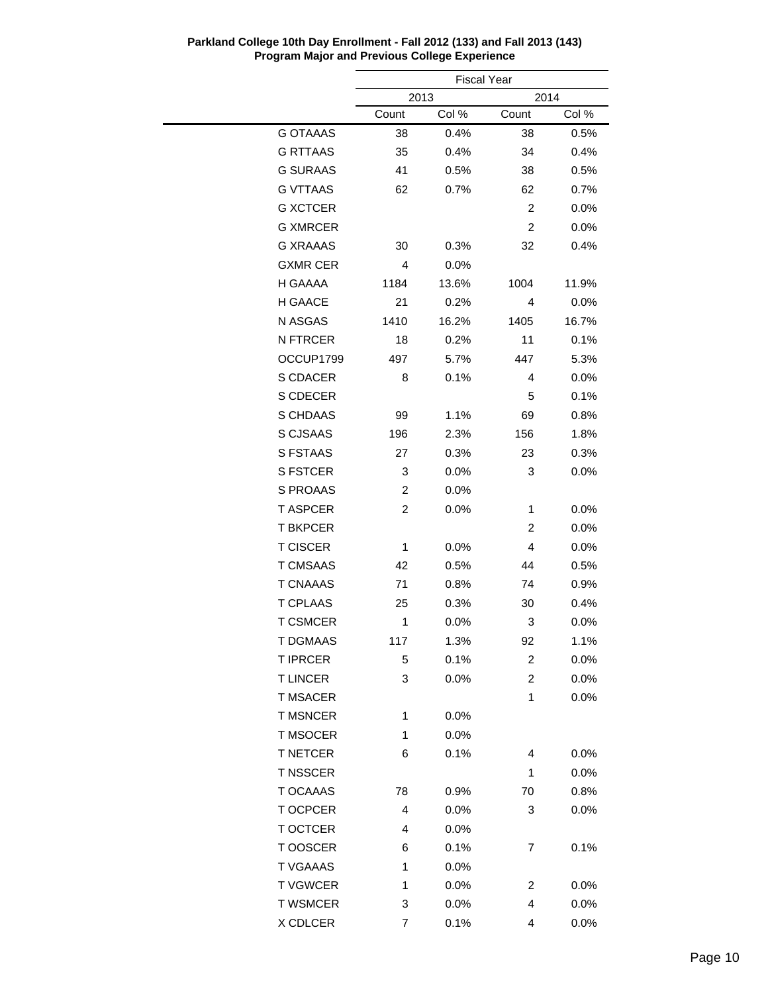|                 | <b>Fiscal Year</b> |         |                         |         |  |  |
|-----------------|--------------------|---------|-------------------------|---------|--|--|
|                 | 2013               |         |                         | 2014    |  |  |
|                 | Count              | Col %   | Count                   | Col %   |  |  |
| <b>G OTAAAS</b> | 38                 | 0.4%    | 38                      | 0.5%    |  |  |
| <b>G RTTAAS</b> | 35                 | 0.4%    | 34                      | 0.4%    |  |  |
| <b>G SURAAS</b> | 41                 | 0.5%    | 38                      | 0.5%    |  |  |
| <b>G VTTAAS</b> | 62                 | 0.7%    | 62                      | 0.7%    |  |  |
| <b>G XCTCER</b> |                    |         | $\overline{2}$          | 0.0%    |  |  |
| <b>G XMRCER</b> |                    |         | $\overline{2}$          | 0.0%    |  |  |
| <b>G XRAAAS</b> | 30                 | 0.3%    | 32                      | 0.4%    |  |  |
| <b>GXMR CER</b> | 4                  | 0.0%    |                         |         |  |  |
| H GAAAA         | 1184               | 13.6%   | 1004                    | 11.9%   |  |  |
| H GAACE         | 21                 | 0.2%    | 4                       | 0.0%    |  |  |
| N ASGAS         | 1410               | 16.2%   | 1405                    | 16.7%   |  |  |
| <b>N FTRCER</b> | 18                 | 0.2%    | 11                      | 0.1%    |  |  |
| OCCUP1799       | 497                | 5.7%    | 447                     | 5.3%    |  |  |
| S CDACER        | 8                  | 0.1%    | 4                       | 0.0%    |  |  |
| S CDECER        |                    |         | 5                       | 0.1%    |  |  |
| S CHDAAS        | 99                 | 1.1%    | 69                      | 0.8%    |  |  |
| S CJSAAS        | 196                | 2.3%    | 156                     | 1.8%    |  |  |
| <b>S FSTAAS</b> | 27                 | 0.3%    | 23                      | 0.3%    |  |  |
| <b>S FSTCER</b> | 3                  | 0.0%    | 3                       | $0.0\%$ |  |  |
| S PROAAS        | 2                  | $0.0\%$ |                         |         |  |  |
| <b>T ASPCER</b> | $\overline{2}$     | 0.0%    | 1                       | 0.0%    |  |  |
| <b>T BKPCER</b> |                    |         | 2                       | 0.0%    |  |  |
| <b>T CISCER</b> | 1                  | 0.0%    | 4                       | $0.0\%$ |  |  |
| <b>T CMSAAS</b> | 42                 | 0.5%    | 44                      | 0.5%    |  |  |
| <b>T CNAAAS</b> | 71                 | 0.8%    | 74                      | 0.9%    |  |  |
| <b>T CPLAAS</b> | 25                 | 0.3%    | 30                      | 0.4%    |  |  |
| <b>T CSMCER</b> | 1                  | 0.0%    | 3                       | $0.0\%$ |  |  |
| T DGMAAS        | 117                | 1.3%    | 92                      | 1.1%    |  |  |
| <b>T IPRCER</b> | 5                  | 0.1%    | $\overline{\mathbf{c}}$ | 0.0%    |  |  |
| <b>TLINCER</b>  | 3                  | 0.0%    | 2                       | 0.0%    |  |  |
| <b>T MSACER</b> |                    |         | 1                       | 0.0%    |  |  |
| <b>T MSNCER</b> | 1                  | 0.0%    |                         |         |  |  |
| T MSOCER        | 1                  | 0.0%    |                         |         |  |  |
| <b>T NETCER</b> | 6                  | 0.1%    | 4                       | 0.0%    |  |  |
| <b>T NSSCER</b> |                    |         | 1                       | 0.0%    |  |  |
| T OCAAAS        | 78                 | 0.9%    | 70                      | 0.8%    |  |  |
| T OCPCER        | 4                  | 0.0%    | 3                       | 0.0%    |  |  |
| T OCTCER        | 4                  | 0.0%    |                         |         |  |  |
| T OOSCER        | 6                  | 0.1%    | 7                       | 0.1%    |  |  |
| <b>T VGAAAS</b> | 1                  | 0.0%    |                         |         |  |  |
| <b>TVGWCER</b>  | 1                  | 0.0%    | 2                       | 0.0%    |  |  |
| <b>T WSMCER</b> | 3                  | 0.0%    | 4                       | 0.0%    |  |  |
| X CDLCER        | 7                  | 0.1%    | 4                       | 0.0%    |  |  |
|                 |                    |         |                         |         |  |  |

**Parkland College 10th Day Enrollment - Fall 2012 (133) and Fall 2013 (143) Program Major and Previous College Experience**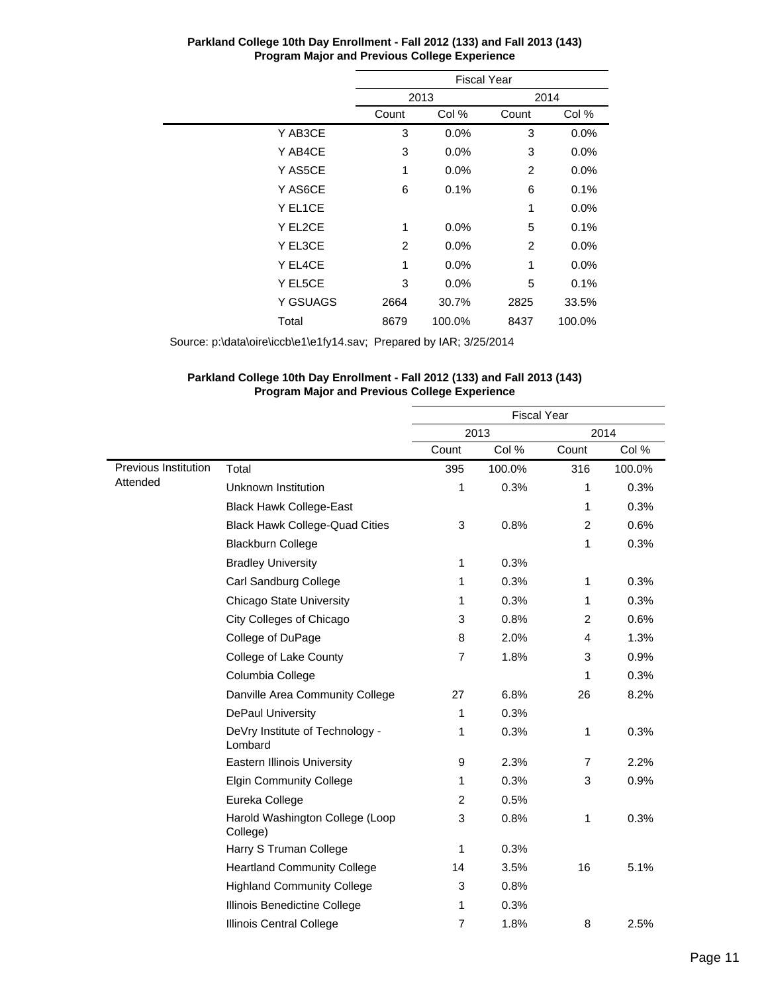|          | <b>Fiscal Year</b> |        |       |         |  |  |
|----------|--------------------|--------|-------|---------|--|--|
|          |                    | 2013   |       | 2014    |  |  |
|          | Count              | Col %  | Count | Col %   |  |  |
| Y AB3CE  | 3                  | 0.0%   | 3     | 0.0%    |  |  |
| Y AB4CE  | 3                  | 0.0%   | 3     | $0.0\%$ |  |  |
| Y AS5CE  | 1                  | 0.0%   | 2     | 0.0%    |  |  |
| Y AS6CE  | 6                  | 0.1%   | 6     | 0.1%    |  |  |
| Y EL1CE  |                    |        | 1     | $0.0\%$ |  |  |
| Y EL2CE  | 1                  | 0.0%   | 5     | 0.1%    |  |  |
| Y EL3CE  | 2                  | 0.0%   | 2     | 0.0%    |  |  |
| Y EL4CE  | 1                  | 0.0%   | 1     | 0.0%    |  |  |
| Y EL5CE  | 3                  | 0.0%   | 5     | 0.1%    |  |  |
| Y GSUAGS | 2664               | 30.7%  | 2825  | 33.5%   |  |  |
| Total    | 8679               | 100.0% | 8437  | 100.0%  |  |  |

Source: p:\data\oire\iccb\e1\e1fy14.sav; Prepared by IAR; 3/25/2014

#### **Parkland College 10th Day Enrollment - Fall 2012 (133) and Fall 2013 (143) Program Major and Previous College Experience**

|                      |                                             | <b>Fiscal Year</b> |        |                |        |
|----------------------|---------------------------------------------|--------------------|--------|----------------|--------|
|                      |                                             | 2013               |        | 2014           |        |
|                      |                                             | Count              | Col %  | Count          | Col %  |
| Previous Institution | Total                                       | 395                | 100.0% | 316            | 100.0% |
| Attended             | Unknown Institution                         | 1                  | 0.3%   | 1              | 0.3%   |
|                      | <b>Black Hawk College-East</b>              |                    |        | 1              | 0.3%   |
|                      | <b>Black Hawk College-Quad Cities</b>       | 3                  | 0.8%   | 2              | 0.6%   |
|                      | <b>Blackburn College</b>                    |                    |        | 1              | 0.3%   |
|                      | <b>Bradley University</b>                   | $\mathbf{1}$       | 0.3%   |                |        |
|                      | Carl Sandburg College                       | 1                  | 0.3%   | 1              | 0.3%   |
|                      | <b>Chicago State University</b>             | 1                  | 0.3%   | 1              | 0.3%   |
|                      | City Colleges of Chicago                    | 3                  | 0.8%   | 2              | 0.6%   |
|                      | College of DuPage                           | 8                  | 2.0%   | 4              | 1.3%   |
|                      | College of Lake County                      | $\overline{7}$     | 1.8%   | 3              | 0.9%   |
|                      | Columbia College                            |                    |        | 1              | 0.3%   |
|                      | Danville Area Community College             | 27                 | 6.8%   | 26             | 8.2%   |
|                      | <b>DePaul University</b>                    | 1                  | 0.3%   |                |        |
|                      | DeVry Institute of Technology -<br>Lombard  | 1                  | 0.3%   | 1              | 0.3%   |
|                      | <b>Eastern Illinois University</b>          | 9                  | 2.3%   | $\overline{7}$ | 2.2%   |
|                      | <b>Elgin Community College</b>              | 1                  | 0.3%   | 3              | 0.9%   |
|                      | Eureka College                              | $\overline{2}$     | 0.5%   |                |        |
|                      | Harold Washington College (Loop<br>College) | 3                  | 0.8%   | 1              | 0.3%   |
|                      | Harry S Truman College                      | 1                  | 0.3%   |                |        |
|                      | <b>Heartland Community College</b>          | 14                 | 3.5%   | 16             | 5.1%   |
|                      | <b>Highland Community College</b>           | 3                  | 0.8%   |                |        |
|                      | Illinois Benedictine College                | 1                  | 0.3%   |                |        |
|                      | Illinois Central College                    | $\overline{7}$     | 1.8%   | 8              | 2.5%   |
|                      |                                             |                    |        |                |        |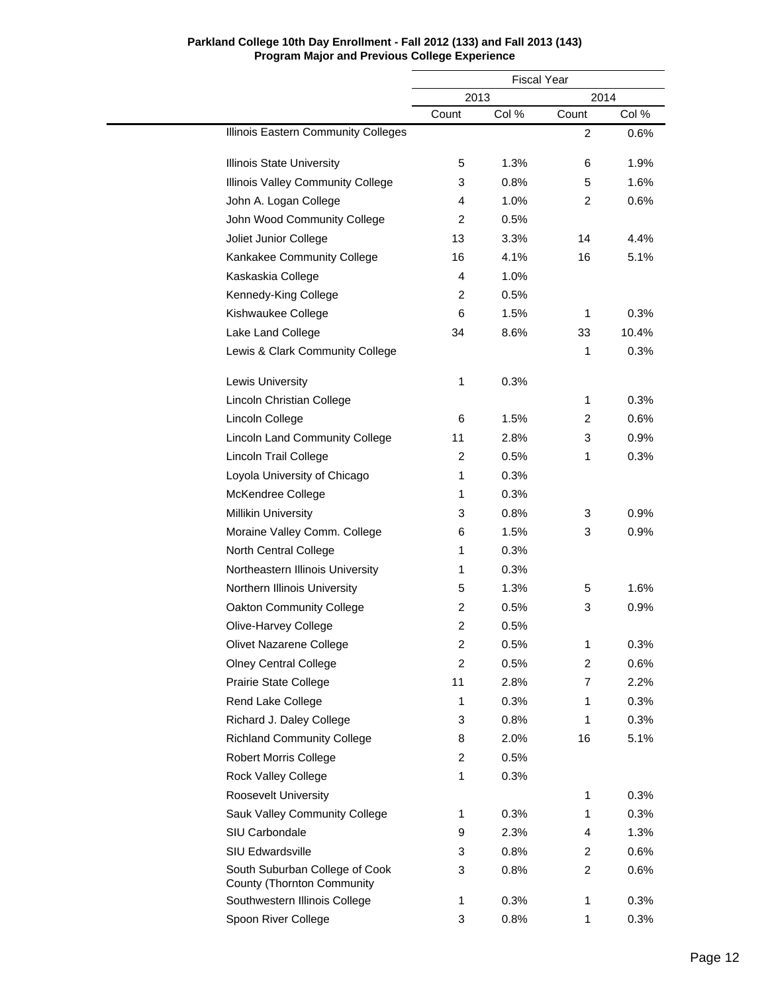|                                                              |                | <b>Fiscal Year</b> |                |       |  |
|--------------------------------------------------------------|----------------|--------------------|----------------|-------|--|
|                                                              |                | 2013               | 2014           |       |  |
|                                                              | Count          | Col %              | Count          | Col % |  |
| Illinois Eastern Community Colleges                          |                |                    | $\overline{2}$ | 0.6%  |  |
| <b>Illinois State University</b>                             | 5              | 1.3%               | 6              | 1.9%  |  |
| Illinois Valley Community College                            | 3              | 0.8%               | 5              | 1.6%  |  |
| John A. Logan College                                        | 4              | 1.0%               | 2              | 0.6%  |  |
| John Wood Community College                                  | 2              | 0.5%               |                |       |  |
| Joliet Junior College                                        | 13             | 3.3%               | 14             | 4.4%  |  |
| Kankakee Community College                                   | 16             | 4.1%               | 16             | 5.1%  |  |
| Kaskaskia College                                            | 4              | 1.0%               |                |       |  |
| Kennedy-King College                                         | 2              | 0.5%               |                |       |  |
| Kishwaukee College                                           | 6              | 1.5%               | 1              | 0.3%  |  |
| Lake Land College                                            | 34             | 8.6%               | 33             | 10.4% |  |
| Lewis & Clark Community College                              |                |                    | 1              | 0.3%  |  |
| <b>Lewis University</b>                                      | 1              | 0.3%               |                |       |  |
| Lincoln Christian College                                    |                |                    | $\mathbf{1}$   | 0.3%  |  |
| Lincoln College                                              | 6              | 1.5%               | $\overline{2}$ | 0.6%  |  |
| <b>Lincoln Land Community College</b>                        | 11             | 2.8%               | 3              | 0.9%  |  |
| Lincoln Trail College                                        | 2              | 0.5%               | 1              | 0.3%  |  |
| Loyola University of Chicago                                 | 1              | 0.3%               |                |       |  |
| McKendree College                                            | 1              | 0.3%               |                |       |  |
| <b>Millikin University</b>                                   | 3              | 0.8%               | 3              | 0.9%  |  |
| Moraine Valley Comm. College                                 | 6              | 1.5%               | 3              | 0.9%  |  |
| North Central College                                        | 1              | 0.3%               |                |       |  |
| Northeastern Illinois University                             | 1              | 0.3%               |                |       |  |
| Northern Illinois University                                 | 5              | 1.3%               | 5              | 1.6%  |  |
| Oakton Community College                                     | 2              | 0.5%               | 3              | 0.9%  |  |
| Olive-Harvey College                                         | $\overline{2}$ | 0.5%               |                |       |  |
| Olivet Nazarene College                                      | $\overline{2}$ | 0.5%               | 1              | 0.3%  |  |
| <b>Olney Central College</b>                                 | $\overline{c}$ | 0.5%               | $\overline{2}$ | 0.6%  |  |
| Prairie State College                                        | 11             | 2.8%               | 7              | 2.2%  |  |
| Rend Lake College                                            | 1              | 0.3%               | 1              | 0.3%  |  |
| Richard J. Daley College                                     | 3              | 0.8%               | 1              | 0.3%  |  |
| <b>Richland Community College</b>                            | 8              | 2.0%               | 16             | 5.1%  |  |
| <b>Robert Morris College</b>                                 | $\overline{c}$ | 0.5%               |                |       |  |
| Rock Valley College                                          | 1              | 0.3%               |                |       |  |
| <b>Roosevelt University</b>                                  |                |                    | 1              | 0.3%  |  |
| Sauk Valley Community College                                | 1              | 0.3%               | 1              | 0.3%  |  |
| SIU Carbondale                                               | 9              | 2.3%               | 4              | 1.3%  |  |
| SIU Edwardsville                                             | 3              | 0.8%               | $\overline{2}$ | 0.6%  |  |
| South Suburban College of Cook<br>County (Thornton Community | 3              | 0.8%               | $\overline{2}$ | 0.6%  |  |
| Southwestern Illinois College                                | 1              | 0.3%               | 1              | 0.3%  |  |
| Spoon River College                                          | 3              | 0.8%               | 1              | 0.3%  |  |

L